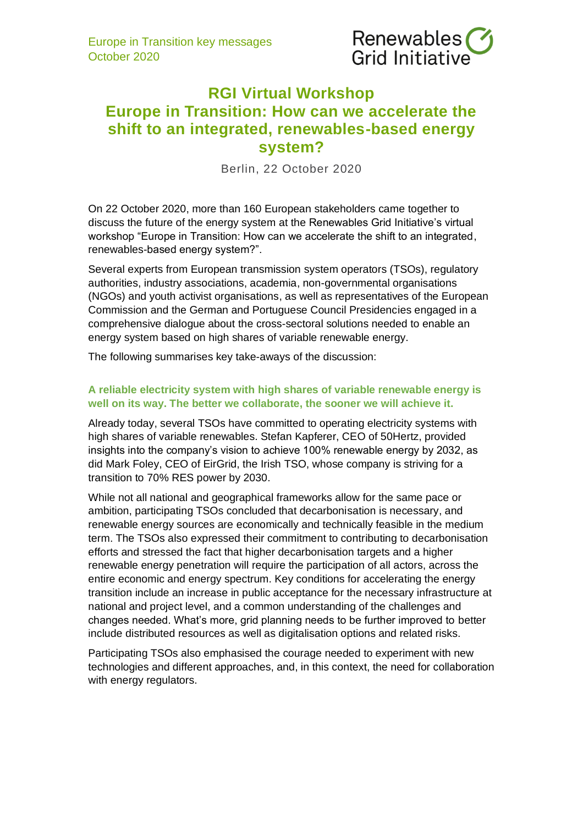

# **RGI Virtual Workshop Europe in Transition: How can we accelerate the shift to an integrated, renewables-based energy system?**

Berlin, 22 October 2020

On 22 October 2020, more than 160 European stakeholders came together to discuss the future of the energy system at the Renewables Grid Initiative's virtual workshop "Europe in Transition: How can we accelerate the shift to an integrated, renewables-based energy system?".

Several experts from European transmission system operators (TSOs), regulatory authorities, industry associations, academia, non-governmental organisations (NGOs) and youth activist organisations, as well as representatives of the European Commission and the German and Portuguese Council Presidencies engaged in a comprehensive dialogue about the cross-sectoral solutions needed to enable an energy system based on high shares of variable renewable energy.

The following summarises key take-aways of the discussion:

## **A reliable electricity system with high shares of variable renewable energy is well on its way. The better we collaborate, the sooner we will achieve it.**

Already today, several TSOs have committed to operating electricity systems with high shares of variable renewables. Stefan Kapferer, CEO of 50Hertz, provided insights into the company's vision to achieve 100% renewable energy by 2032, as did Mark Foley, CEO of EirGrid, the Irish TSO, whose company is striving for a transition to 70% RES power by 2030.

While not all national and geographical frameworks allow for the same pace or ambition, participating TSOs concluded that decarbonisation is necessary, and renewable energy sources are economically and technically feasible in the medium term. The TSOs also expressed their commitment to contributing to decarbonisation efforts and stressed the fact that higher decarbonisation targets and a higher renewable energy penetration will require the participation of all actors, across the entire economic and energy spectrum. Key conditions for accelerating the energy transition include an increase in public acceptance for the necessary infrastructure at national and project level, and a common understanding of the challenges and changes needed. What's more, grid planning needs to be further improved to better include distributed resources as well as digitalisation options and related risks.

Participating TSOs also emphasised the courage needed to experiment with new technologies and different approaches, and, in this context, the need for collaboration with energy regulators.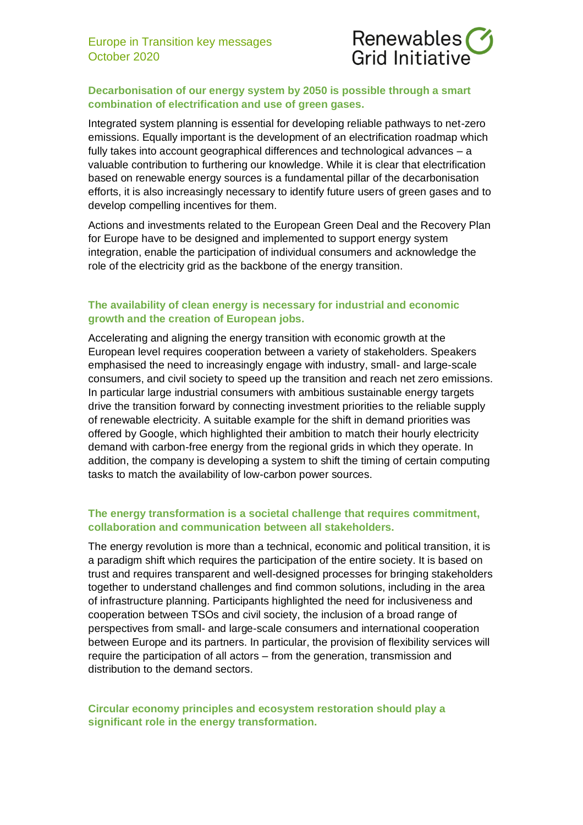

# **Decarbonisation of our energy system by 2050 is possible through a smart combination of electrification and use of green gases.**

Integrated system planning is essential for developing reliable pathways to net-zero emissions. Equally important is the development of an electrification roadmap which fully takes into account geographical differences and technological advances – a valuable contribution to furthering our knowledge. While it is clear that electrification based on renewable energy sources is a fundamental pillar of the decarbonisation efforts, it is also increasingly necessary to identify future users of green gases and to develop compelling incentives for them.

Actions and investments related to the European Green Deal and the Recovery Plan for Europe have to be designed and implemented to support energy system integration, enable the participation of individual consumers and acknowledge the role of the electricity grid as the backbone of the energy transition.

#### **The availability of clean energy is necessary for industrial and economic growth and the creation of European jobs.**

Accelerating and aligning the energy transition with economic growth at the European level requires cooperation between a variety of stakeholders. Speakers emphasised the need to increasingly engage with industry, small- and large-scale consumers, and civil society to speed up the transition and reach net zero emissions. In particular large industrial consumers with ambitious sustainable energy targets drive the transition forward by connecting investment priorities to the reliable supply of renewable electricity. A suitable example for the shift in demand priorities was offered by Google, which highlighted their ambition to match their hourly electricity demand with carbon-free energy from the regional grids in which they operate. In addition, the company is developing a system to shift the timing of certain computing tasks to match the availability of low-carbon power sources.

## **The energy transformation is a societal challenge that requires commitment, collaboration and communication between all stakeholders.**

The energy revolution is more than a technical, economic and political transition, it is a paradigm shift which requires the participation of the entire society. It is based on trust and requires transparent and well-designed processes for bringing stakeholders together to understand challenges and find common solutions, including in the area of infrastructure planning. Participants highlighted the need for inclusiveness and cooperation between TSOs and civil society, the inclusion of a broad range of perspectives from small- and large-scale consumers and international cooperation between Europe and its partners. In particular, the provision of flexibility services will require the participation of all actors – from the generation, transmission and distribution to the demand sectors.

#### **Circular economy principles and ecosystem restoration should play a significant role in the energy transformation.**